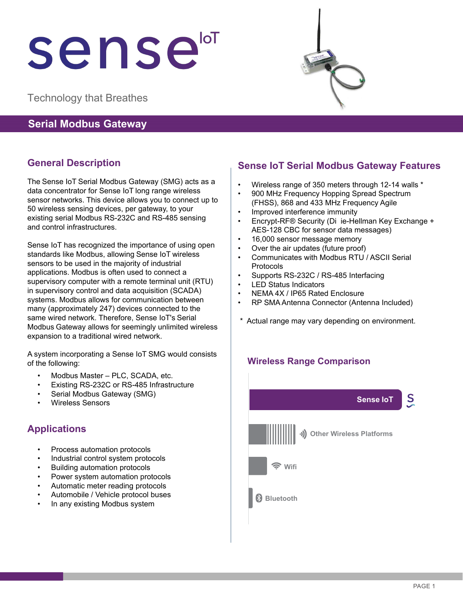# sensei

Technology that Breathes

### **Serial Modbus Gateway**

# **General Description**

The Sense IoT Serial Modbus Gateway (SMG) acts as a data concentrator for Sense IoT long range wireless sensor networks. This device allows you to connect up to 50 wireless sensing devices, per gateway, to your existing serial Modbus RS-232C and RS-485 sensing and control infrastructures.

Sense IoT has recognized the importance of using open standards like Modbus, allowing Sense IoT wireless sensors to be used in the majority of industrial applications. Modbus is often used to connect a supervisory computer with a remote terminal unit (RTU) in supervisory control and data acquisition (SCADA) systems. Modbus allows for communication between many (approximately 247) devices connected to the same wired network. Therefore, Sense IoT's Serial Modbus Gateway allows for seemingly unlimited wireless expansion to a traditional wired network.

A system incorporating a Sense IoT SMG would consists of the following:

- Modbus Master PLC, SCADA, etc.
- Existing RS-232C or RS-485 Infrastructure
- Serial Modbus Gateway (SMG)
- Wireless Sensors

## **Applications**

- Process automation protocols
- Industrial control system protocols
- Building automation protocols
- Power system automation protocols
- Automatic meter reading protocols
- Automobile / Vehicle protocol buses
- In any existing Modbus system

# **Sense IoT Serial Modbus Gateway Features**

- Wireless range of 350 meters through 12-14 walls \*
- 900 MHz Frequency Hopping Spread Spectrum (FHSS), 868 and 433 MHz Frequency Agile
- Improved interference immunity
- Encrypt-RF® Security (Di ie-Hellman Key Exchange + AES-128 CBC for sensor data messages)
- 16,000 sensor message memory
- Over the air updates (future proof)
- Communicates with Modbus RTU / ASCII Serial Protocols
- Supports RS-232C / RS-485 Interfacing
- **LED Status Indicators**
- NEMA 4X / IP65 Rated Enclosure
- RP SMA Antenna Connector (Antenna Included)
- \* Actual range may vary depending on environment.

#### **Wireless Range Comparison**



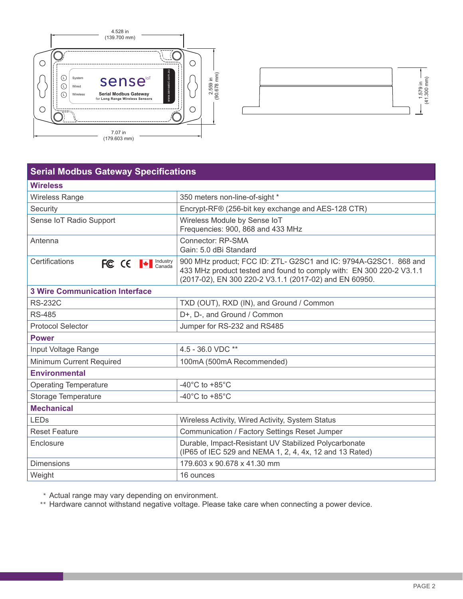



| <b>Serial Modbus Gateway Specifications</b> |                                                                                                                                                                                                    |
|---------------------------------------------|----------------------------------------------------------------------------------------------------------------------------------------------------------------------------------------------------|
| <b>Wireless</b>                             |                                                                                                                                                                                                    |
| <b>Wireless Range</b>                       | 350 meters non-line-of-sight *                                                                                                                                                                     |
| Security                                    | Encrypt-RF® (256-bit key exchange and AES-128 CTR)                                                                                                                                                 |
| Sense IoT Radio Support                     | Wireless Module by Sense IoT<br>Frequencies: 900, 868 and 433 MHz                                                                                                                                  |
| Antenna                                     | Connector: RP-SMA<br>Gain: 5.0 dBi Standard                                                                                                                                                        |
| Certifications<br>FC CE + Canada            | 900 MHz product; FCC ID: ZTL- G2SC1 and IC: 9794A-G2SC1. 868 and<br>433 MHz product tested and found to comply with: EN 300 220-2 V3.1.1<br>(2017-02), EN 300 220-2 V3.1.1 (2017-02) and EN 60950. |
| <b>3 Wire Communication Interface</b>       |                                                                                                                                                                                                    |
| <b>RS-232C</b>                              | TXD (OUT), RXD (IN), and Ground / Common                                                                                                                                                           |
| <b>RS-485</b>                               | D+, D-, and Ground / Common                                                                                                                                                                        |
| <b>Protocol Selector</b>                    | Jumper for RS-232 and RS485                                                                                                                                                                        |
| <b>Power</b>                                |                                                                                                                                                                                                    |
| Input Voltage Range                         | 4.5 - 36.0 VDC **                                                                                                                                                                                  |
| Minimum Current Required                    | 100mA (500mA Recommended)                                                                                                                                                                          |
| <b>Environmental</b>                        |                                                                                                                                                                                                    |
| <b>Operating Temperature</b>                | -40 $^{\circ}$ C to +85 $^{\circ}$ C                                                                                                                                                               |
| Storage Temperature                         | -40 $^{\circ}$ C to +85 $^{\circ}$ C                                                                                                                                                               |
| <b>Mechanical</b>                           |                                                                                                                                                                                                    |
| <b>LEDs</b>                                 | Wireless Activity, Wired Activity, System Status                                                                                                                                                   |
| <b>Reset Feature</b>                        | Communication / Factory Settings Reset Jumper                                                                                                                                                      |
| Enclosure                                   | Durable, Impact-Resistant UV Stabilized Polycarbonate<br>(IP65 of IEC 529 and NEMA 1, 2, 4, 4x, 12 and 13 Rated)                                                                                   |
| <b>Dimensions</b>                           | 179.603 x 90.678 x 41.30 mm                                                                                                                                                                        |
| Weight                                      | 16 ounces                                                                                                                                                                                          |

\* Actual range may vary depending on environment.

\*\* Hardware cannot withstand negative voltage. Please take care when connecting a power device.